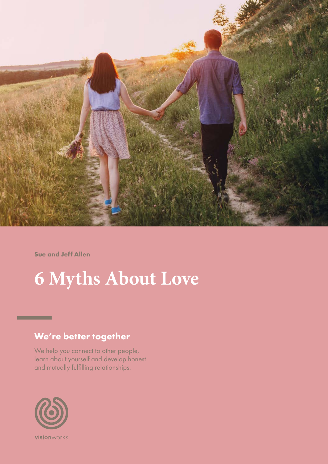

**Sue and Jeff Allen**

## **6 Myths About Love**

#### **We're better together**

We help you connect to other people, learn about yourself and develop honest and mutually fulfilling relationships.

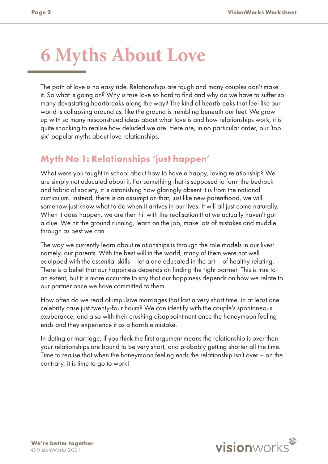# **6 Myths About Love**

The path of love is no easy ride. Relationships are tough and many couples don't make it. So what is going on? Why is true love so hard to find and why do we have to suffer so many devastating heartbreaks along the way? The kind of heartbreaks that feel like our world is collapsing around us, like the ground is trembling beneath our feet. We grow up with so many misconstrued ideas about what love is and how relationships work, it is quite shocking to realise how deluded we are. Here are, in no particular order, our 'top six' popular myths about love relationships.

## **Myth No 1: Relationships 'just happen'**

What were you taught in school about how to have a happy, loving relationship? We are simply not educated about it. For something that is supposed to form the bedrock and fabric of society, it is astonishing how glaringly absent it is from the national curriculum. Instead, there is an assumption that, just like new parenthood, we will somehow just know what to do when it arrives in our lives. It will all just come naturally. When it does happen, we are then hit with the realisation that we actually haven't got a clue. We hit the ground running, learn on the job, make lots of mistakes and muddle through as best we can.

The way we currently learn about relationships is through the role models in our lives; namely, our parents. With the best will in the world, many of them were not well equipped with the essential skills – let alone educated in the art – of healthy relating. There is a belief that our happiness depends on finding the right partner. This is true to an extent, but it is more accurate to say that our happiness depends on how we relate to our partner once we have committed to them.

How often do we read of impulsive marriages that last a very short time, in at least one celebrity case just twenty-four hours? We can identify with the couple's spontaneous exuberance, and also with their crushing disappointment once the honeymoon feeling ends and they experience it as a horrible mistake.

In dating or marriage, if you think the first argument means the relationship is over then your relationships are bound to be very short, and probably getting shorter all the time. Time to realise that when the honeymoon feeling ends the relationship isn't over – on the contrary, it is time to go to work!

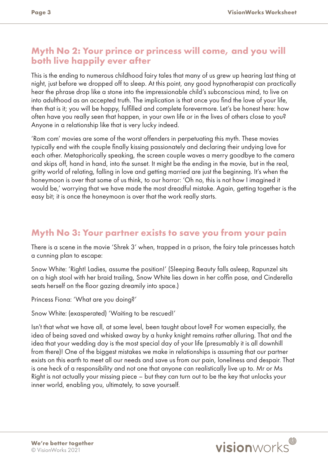#### **Myth No 2: Your prince or princess will come, and you will both live happily ever after**

This is the ending to numerous childhood fairy tales that many of us grew up hearing last thing at night, just before we dropped off to sleep. At this point, any good hypnotherapist can practically hear the phrase drop like a stone into the impressionable child's subconscious mind, to live on into adulthood as an accepted truth. The implication is that once you find the love of your life, then that is it; you will be happy, fulfilled and complete forevermore. Let's be honest here: how often have you really seen that happen, in your own life or in the lives of others close to you? Anyone in a relationship like that is very lucky indeed.

'Rom com' movies are some of the worst offenders in perpetuating this myth. These movies typically end with the couple finally kissing passionately and declaring their undying love for each other. Metaphorically speaking, the screen couple waves a merry goodbye to the camera and skips off, hand in hand, into the sunset. It might be the ending in the movie, but in the real, gritty world of relating, falling in love and getting married are just the beginning. It's when the honeymoon is over that some of us think, to our horror: 'Oh no, this is not how I imagined it would be,' worrying that we have made the most dreadful mistake. Again, getting together is the easy bit; it is once the honeymoon is over that the work really starts.

#### **Myth No 3: Your partner exists to save you from your pain**

There is a scene in the movie 'Shrek 3' when, trapped in a prison, the fairy tale princesses hatch a cunning plan to escape:

Snow White: 'Right! Ladies, assume the position!' (Sleeping Beauty falls asleep, Rapunzel sits on a high stool with her braid trailing, Snow White lies down in her coffin pose, and Cinderella seats herself on the floor gazing dreamily into space.)

Princess Fiona: 'What are you doing?'

Snow White: (exasperated) 'Waiting to be rescued!'

Isn't that what we have all, at some level, been taught about love? For women especially, the idea of being saved and whisked away by a hunky knight remains rather alluring. That and the idea that your wedding day is the most special day of your life (presumably it is all downhill from there)! One of the biggest mistakes we make in relationships is assuming that our partner exists on this earth to meet all our needs and save us from our pain, loneliness and despair. That is one heck of a responsibility and not one that anyone can realistically live up to. Mr or Ms Right is not actually your missing piece – but they can turn out to be the key that unlocks your inner world, enabling you, ultimately, to save yourself.

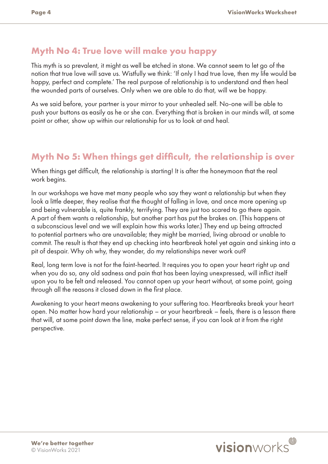#### **Myth No 4: True love will make you happy**

This myth is so prevalent, it might as well be etched in stone. We cannot seem to let go of the notion that true love will save us. Wistfully we think: 'If only I had true love, then my life would be happy, perfect and complete.' The real purpose of relationship is to understand and then heal the wounded parts of ourselves. Only when we are able to do that, will we be happy.

As we said before, your partner is your mirror to your unhealed self. No-one will be able to push your buttons as easily as he or she can. Everything that is broken in our minds will, at some point or other, show up within our relationship for us to look at and heal.

### **Myth No 5: When things get difficult, the relationship is over**

When things get difficult, the relationship is starting! It is after the honeymoon that the real work begins.

In our workshops we have met many people who say they want a relationship but when they look a little deeper, they realise that the thought of falling in love, and once more opening up and being vulnerable is, quite frankly, terrifying. They are just too scared to go there again. A part of them wants a relationship, but another part has put the brakes on. (This happens at a subconscious level and we will explain how this works later.) They end up being attracted to potential partners who are unavailable; they might be married, living abroad or unable to commit. The result is that they end up checking into heartbreak hotel yet again and sinking into a pit of despair. Why oh why, they wonder, do my relationships never work out?

Real, long term love is not for the faint-hearted. It requires you to open your heart right up and when you do so, any old sadness and pain that has been laying unexpressed, will inflict itself upon you to be felt and released. You cannot open up your heart without, at some point, going through all the reasons it closed down in the first place.

Awakening to your heart means awakening to your suffering too. Heartbreaks break your heart open. No matter how hard your relationship – or your heartbreak – feels, there is a lesson there that will, at some point down the line, make perfect sense, if you can look at it from the right perspective.